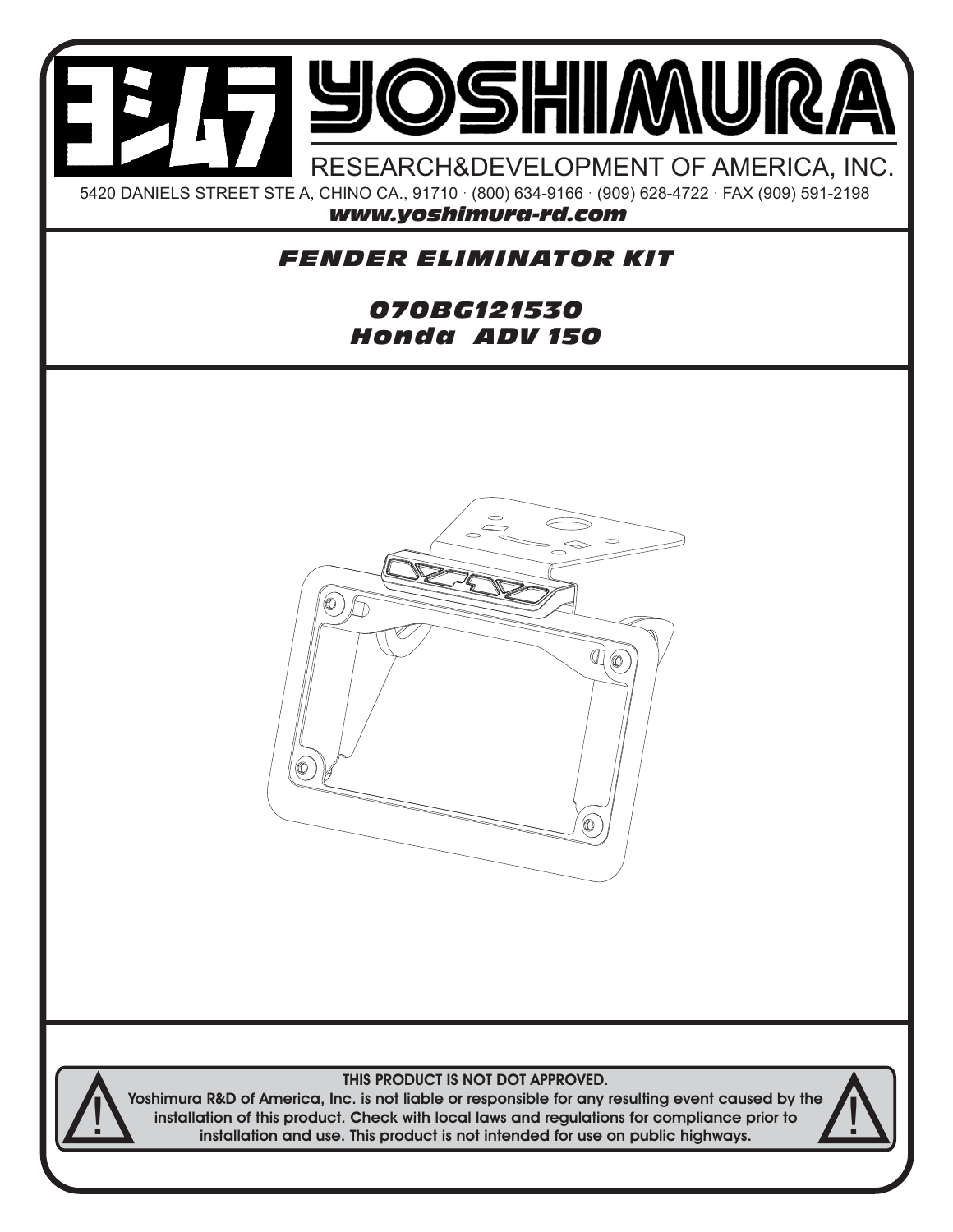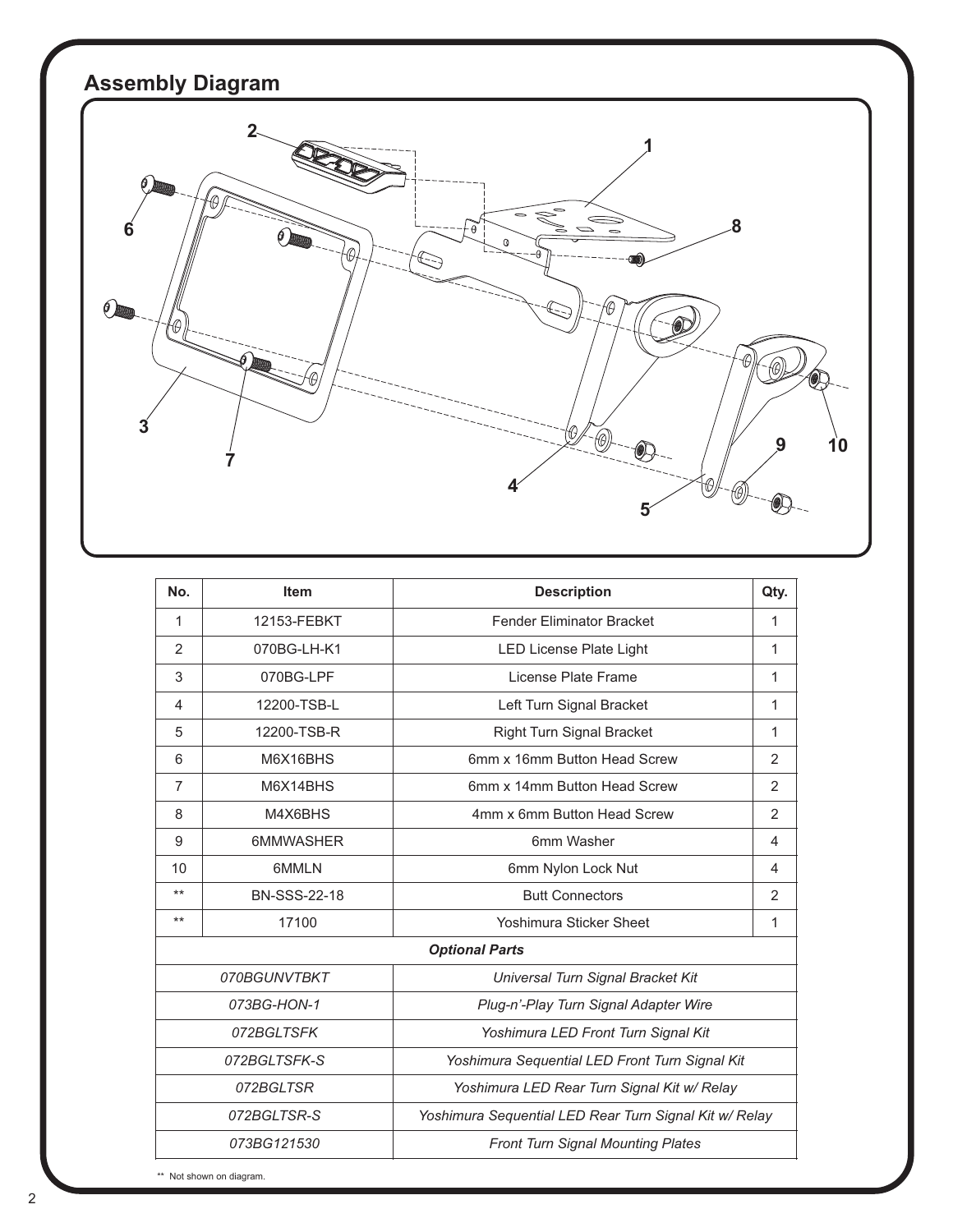

| No.                                                                   | <b>Item</b>         | <b>Description</b>                             | Qty.         |
|-----------------------------------------------------------------------|---------------------|------------------------------------------------|--------------|
| $\mathbf{1}$                                                          | 12153-FEBKT         | <b>Fender Eliminator Bracket</b>               | $\mathbf 1$  |
| 2                                                                     | 070BG-LH-K1         | LED License Plate Light                        | 1            |
| 3                                                                     | 070BG-LPF           | License Plate Frame                            | 1            |
| 4                                                                     | 12200-TSB-L         | Left Turn Signal Bracket                       | 1            |
| 5                                                                     | 12200-TSB-R         | <b>Right Turn Signal Bracket</b>               | $\mathbf{1}$ |
| 6                                                                     | M6X16BHS            | 6mm x 16mm Button Head Screw                   | 2            |
| $\overline{7}$                                                        | M6X14BHS            | 6mm x 14mm Button Head Screw                   | 2            |
| 8                                                                     | M4X6BHS             | 4mm x 6mm Button Head Screw                    | 2            |
| 9                                                                     | <b>6MMWASHER</b>    | 6mm Washer                                     | 4            |
| 10                                                                    | 6MMLN               | 6mm Nylon Lock Nut                             | 4            |
| $***$                                                                 | <b>BN-SSS-22-18</b> | <b>Butt Connectors</b>                         | 2            |
| $***$                                                                 | 17100               | <b>Yoshimura Sticker Sheet</b>                 | 1            |
| <b>Optional Parts</b>                                                 |                     |                                                |              |
| 070BGUNVTBKT                                                          |                     | Universal Turn Signal Bracket Kit              |              |
| 073BG-HON-1                                                           |                     | Plug-n'-Play Turn Signal Adapter Wire          |              |
| 072BGLTSFK                                                            |                     | Yoshimura LED Front Turn Signal Kit            |              |
| 072BGLTSFK-S                                                          |                     | Yoshimura Sequential LED Front Turn Signal Kit |              |
|                                                                       | 072BGLTSR           | Yoshimura LED Rear Turn Signal Kit w/ Relay    |              |
| 072BGLTSR-S<br>Yoshimura Sequential LED Rear Turn Signal Kit w/ Relay |                     |                                                |              |
| 073BG121530                                                           |                     | <b>Front Turn Signal Mounting Plates</b>       |              |

\*\* Not shown on diagram.